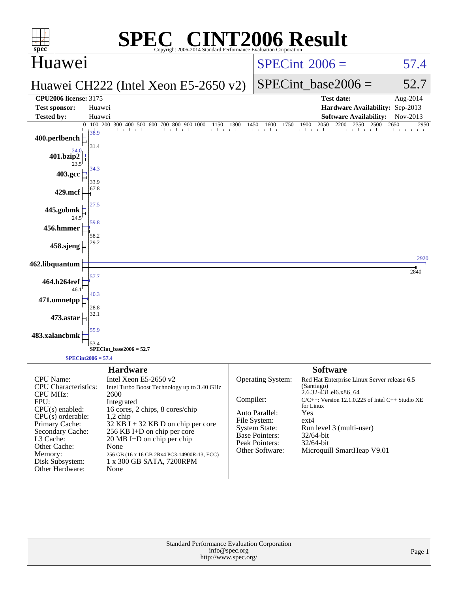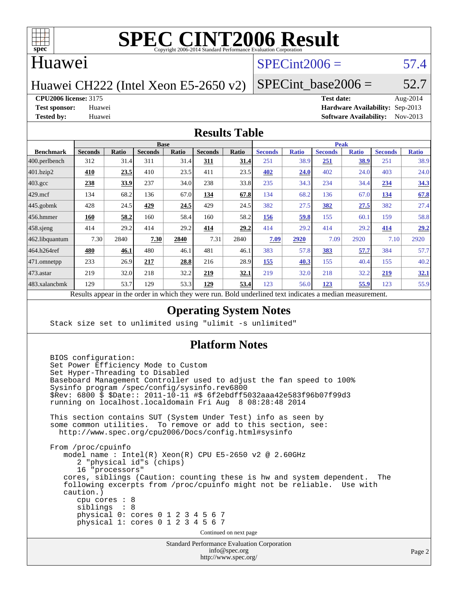

## Huawei

## $SPECint2006 = 57.4$  $SPECint2006 = 57.4$

Huawei CH222 (Intel Xeon E5-2650 v2)

SPECint base2006 =  $52.7$ 

**[CPU2006 license:](http://www.spec.org/auto/cpu2006/Docs/result-fields.html#CPU2006license)** 3175 **[Test date:](http://www.spec.org/auto/cpu2006/Docs/result-fields.html#Testdate)** Aug-2014

**[Test sponsor:](http://www.spec.org/auto/cpu2006/Docs/result-fields.html#Testsponsor)** Huawei **[Hardware Availability:](http://www.spec.org/auto/cpu2006/Docs/result-fields.html#HardwareAvailability)** Sep-2013 **[Tested by:](http://www.spec.org/auto/cpu2006/Docs/result-fields.html#Testedby)** Huawei **[Software Availability:](http://www.spec.org/auto/cpu2006/Docs/result-fields.html#SoftwareAvailability)** Nov-2013

#### **[Results Table](http://www.spec.org/auto/cpu2006/Docs/result-fields.html#ResultsTable)**

|                                                                                                                   | <b>Base</b>    |       |                |       |                | <b>Peak</b> |                |              |                |              |                |              |
|-------------------------------------------------------------------------------------------------------------------|----------------|-------|----------------|-------|----------------|-------------|----------------|--------------|----------------|--------------|----------------|--------------|
| <b>Benchmark</b>                                                                                                  | <b>Seconds</b> | Ratio | <b>Seconds</b> | Ratio | <b>Seconds</b> | Ratio       | <b>Seconds</b> | <b>Ratio</b> | <b>Seconds</b> | <b>Ratio</b> | <b>Seconds</b> | <b>Ratio</b> |
| 400.perlbench                                                                                                     | 312            | 31.4  | 311            | 31.4  | 311            | 31.4        | 251            | 38.9         | <u>251</u>     | 38.9         | 251            | 38.9         |
| 401.bzip2                                                                                                         | 410            | 23.5  | 410            | 23.5  | 411            | 23.5        | 402            | 24.0         | 402            | 24.0         | 403            | 24.0         |
| $403.\mathrm{gcc}$                                                                                                | 238            | 33.9  | 237            | 34.0  | 238            | 33.8        | 235            | 34.3         | 234            | 34.4         | 234            | 34.3         |
| $429$ mcf                                                                                                         | 134            | 68.2  | 136            | 67.0  | 134            | 67.8        | 134            | 68.2         | 136            | 67.0         | 134            | 67.8         |
| $445$ .gobmk                                                                                                      | 428            | 24.5  | 429            | 24.5  | 429            | 24.5        | 382            | 27.5         | 382            | 27.5         | 382            | 27.4         |
| $456.$ hmmer                                                                                                      | 160            | 58.2  | 160            | 58.4  | 160            | 58.2        | 156            | 59.8         | 155            | 60.1         | 159            | 58.8         |
| $458$ .sjeng                                                                                                      | 414            | 29.2  | 414            | 29.2  | 414            | 29.2        | 414            | 29.2         | 414            | 29.2         | 414            | 29.2         |
| 462.libquantum                                                                                                    | 7.30           | 2840  | 7.30           | 2840  | 7.31           | 2840        | 7.09           | 2920         | 7.09           | 2920         | 7.10           | 2920         |
| 464.h264ref                                                                                                       | 480            | 46.1  | 480            | 46.1  | 481            | 46.1        | 383            | 57.8         | 383            | 57.7         | 384            | 57.7         |
| 471.omnetpp                                                                                                       | 233            | 26.9  | 217            | 28.8  | 216            | 28.9        | 155            | 40.3         | 155            | 40.4         | 155            | 40.2         |
| $473.$ astar                                                                                                      | 219            | 32.0  | 218            | 32.2  | 219            | <u>32.1</u> | 219            | 32.0         | 218            | 32.2         | 219            | 32.1         |
| 483.xalancbmk                                                                                                     | 129            | 53.7  | 129            | 53.3  | 129            | 53.4        | 123            | 56.0         | 123            | 55.9         | 123            | 55.9         |
| Describe announced to the conduction of the theory of the most<br>Deld and called to change in discovery a modium |                |       |                |       |                |             |                |              |                |              |                |              |

Results appear in the [order in which they were run.](http://www.spec.org/auto/cpu2006/Docs/result-fields.html#RunOrder) Bold underlined text [indicates a median measurement.](http://www.spec.org/auto/cpu2006/Docs/result-fields.html#Median)

### **[Operating System Notes](http://www.spec.org/auto/cpu2006/Docs/result-fields.html#OperatingSystemNotes)**

Stack size set to unlimited using "ulimit -s unlimited"

### **[Platform Notes](http://www.spec.org/auto/cpu2006/Docs/result-fields.html#PlatformNotes)**

```
 BIOS configuration:
Set Power Efficiency Mode to Custom
Set Hyper-Threading to Disabled
Baseboard Management Controller used to adjust the fan speed to 100%
Sysinfo program /spec/config/sysinfo.rev6800
$Rev: 6800 $ $Date:: 2011-10-11 #$ 6f2ebdff5032aaa42e583f96b07f99d3
running on localhost.localdomain Fri Aug 8 08:28:48 2014
This section contains SUT (System Under Test) info as seen by
some common utilities. To remove or add to this section, see:
 http://www.spec.org/cpu2006/Docs/config.html#sysinfo
From /proc/cpuinfo
   model name : Intel(R) Xeon(R) CPU E5-2650 v2 @ 2.60GHz
      2 "physical id"s (chips)
      16 "processors"
   cores, siblings (Caution: counting these is hw and system dependent. The
   following excerpts from /proc/cpuinfo might not be reliable. Use with
   caution.)
      cpu cores : 8
      siblings : 8
      physical 0: cores 0 1 2 3 4 5 6 7
      physical 1: cores 0 1 2 3 4 5 6 7
                                 Continued on next page
```
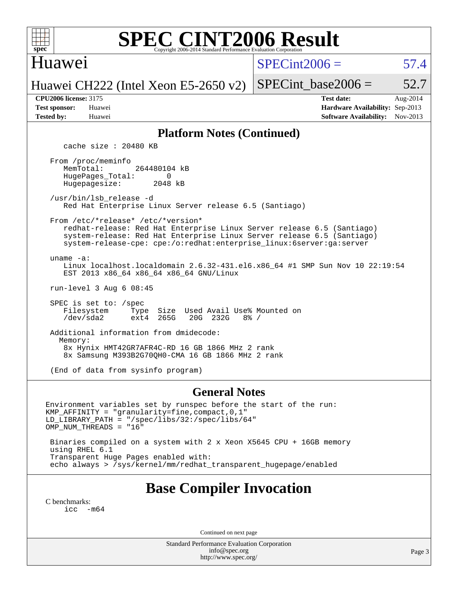

## Huawei

 $SPECint2006 = 57.4$  $SPECint2006 = 57.4$ 

Huawei CH222 (Intel Xeon E5-2650 v2)

| <b>Test sponsor:</b> | Huawei |
|----------------------|--------|
| <b>Tested by:</b>    | Huawei |

SPECint base2006 =  $52.7$ **[CPU2006 license:](http://www.spec.org/auto/cpu2006/Docs/result-fields.html#CPU2006license)** 3175 **[Test date:](http://www.spec.org/auto/cpu2006/Docs/result-fields.html#Testdate)** Aug-2014

**[Hardware Availability:](http://www.spec.org/auto/cpu2006/Docs/result-fields.html#HardwareAvailability)** Sep-2013 **[Software Availability:](http://www.spec.org/auto/cpu2006/Docs/result-fields.html#SoftwareAvailability)** Nov-2013

### **[Platform Notes \(Continued\)](http://www.spec.org/auto/cpu2006/Docs/result-fields.html#PlatformNotes)**

cache size : 20480 KB

 From /proc/meminfo MemTotal: 264480104 kB HugePages\_Total: 0<br>Hugepagesize: 2048 kB Hugepagesize:

 /usr/bin/lsb\_release -d Red Hat Enterprise Linux Server release 6.5 (Santiago)

From /etc/\*release\* /etc/\*version\*

 redhat-release: Red Hat Enterprise Linux Server release 6.5 (Santiago) system-release: Red Hat Enterprise Linux Server release 6.5 (Santiago) system-release-cpe: cpe:/o:redhat:enterprise\_linux:6server:ga:server

uname -a:

 Linux localhost.localdomain 2.6.32-431.el6.x86\_64 #1 SMP Sun Nov 10 22:19:54 EST 2013 x86\_64 x86\_64 x86\_64 GNU/Linux

run-level 3 Aug 6 08:45

SPEC is set to: /spec<br>Filesystem Type Type Size Used Avail Use% Mounted on<br>ext4 265G 20G 232G 8% / /dev/sda2 ext4 265G 20G 232G 8% /

 Additional information from dmidecode: Memory: 8x Hynix HMT42GR7AFR4C-RD 16 GB 1866 MHz 2 rank 8x Samsung M393B2G70QH0-CMA 16 GB 1866 MHz 2 rank

(End of data from sysinfo program)

#### **[General Notes](http://www.spec.org/auto/cpu2006/Docs/result-fields.html#GeneralNotes)**

Environment variables set by runspec before the start of the run: KMP\_AFFINITY = "granularity=fine,compact,0,1" LD\_LIBRARY\_PATH = "/spec/libs/32:/spec/libs/64" OMP\_NUM\_THREADS = "16"

 Binaries compiled on a system with 2 x Xeon X5645 CPU + 16GB memory using RHEL 6.1 Transparent Huge Pages enabled with: echo always > /sys/kernel/mm/redhat\_transparent\_hugepage/enabled

# **[Base Compiler Invocation](http://www.spec.org/auto/cpu2006/Docs/result-fields.html#BaseCompilerInvocation)**

[C benchmarks](http://www.spec.org/auto/cpu2006/Docs/result-fields.html#Cbenchmarks): [icc -m64](http://www.spec.org/cpu2006/results/res2014q3/cpu2006-20140824-31002.flags.html#user_CCbase_intel_icc_64bit_f346026e86af2a669e726fe758c88044)

Continued on next page

Standard Performance Evaluation Corporation [info@spec.org](mailto:info@spec.org) <http://www.spec.org/>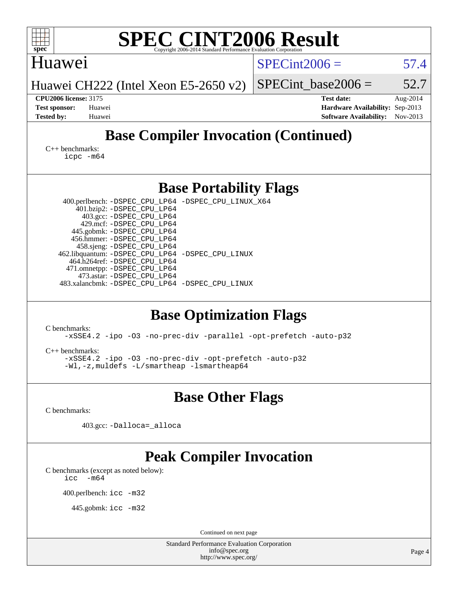| $spec^*$                                                                                                 | <b>SPEC CINT2006 Result</b><br>Copyright 2006-2014 Standard Performance Evaluation Corporation                                                                                                                                                                                                                                                                                                                                            |                 |                                                                                       |                      |
|----------------------------------------------------------------------------------------------------------|-------------------------------------------------------------------------------------------------------------------------------------------------------------------------------------------------------------------------------------------------------------------------------------------------------------------------------------------------------------------------------------------------------------------------------------------|-----------------|---------------------------------------------------------------------------------------|----------------------|
| Huawei                                                                                                   |                                                                                                                                                                                                                                                                                                                                                                                                                                           | $SPECint2006 =$ |                                                                                       | 57.4                 |
|                                                                                                          | Huawei CH222 (Intel Xeon E5-2650 v2)                                                                                                                                                                                                                                                                                                                                                                                                      |                 | $SPECint base2006 =$                                                                  | 52.7                 |
| <b>CPU2006 license: 3175</b><br><b>Test sponsor:</b><br>Huawei<br><b>Tested by:</b><br>Huawei            |                                                                                                                                                                                                                                                                                                                                                                                                                                           |                 | <b>Test date:</b><br>Hardware Availability: Sep-2013<br><b>Software Availability:</b> | Aug-2014<br>Nov-2013 |
|                                                                                                          | <b>Base Compiler Invocation (Continued)</b>                                                                                                                                                                                                                                                                                                                                                                                               |                 |                                                                                       |                      |
| $C_{++}$ benchmarks:<br>icpc -m64                                                                        |                                                                                                                                                                                                                                                                                                                                                                                                                                           |                 |                                                                                       |                      |
|                                                                                                          | <b>Base Portability Flags</b>                                                                                                                                                                                                                                                                                                                                                                                                             |                 |                                                                                       |                      |
|                                                                                                          | 400.perlbench: -DSPEC_CPU_LP64 -DSPEC_CPU_LINUX_X64<br>401.bzip2: -DSPEC_CPU_LP64<br>403.gcc: -DSPEC_CPU_LP64<br>429.mcf: -DSPEC_CPU_LP64<br>445.gobmk: -DSPEC_CPU_LP64<br>456.hmmer: -DSPEC_CPU_LP64<br>458.sjeng: -DSPEC_CPU_LP64<br>462.libquantum: -DSPEC_CPU_LP64 -DSPEC_CPU_LINUX<br>464.h264ref: -DSPEC_CPU_LP64<br>471.omnetpp: -DSPEC_CPU_LP64<br>473.astar: - DSPEC_CPU_LP64<br>483.xalancbmk: -DSPEC_CPU_LP64 -DSPEC_CPU_LINUX |                 |                                                                                       |                      |
| C benchmarks:<br>$C_{++}$ benchmarks:                                                                    | <b>Base Optimization Flags</b><br>-xSSE4.2 -ipo -03 -no-prec-div -parallel -opt-prefetch -auto-p32<br>-xSSE4.2 -ipo -03 -no-prec-div -opt-prefetch -auto-p32<br>-Wl,-z,muldets -L/smartheap -Ismartheap64                                                                                                                                                                                                                                 |                 |                                                                                       |                      |
|                                                                                                          | <b>Base Other Flags</b>                                                                                                                                                                                                                                                                                                                                                                                                                   |                 |                                                                                       |                      |
| C benchmarks:                                                                                            |                                                                                                                                                                                                                                                                                                                                                                                                                                           |                 |                                                                                       |                      |
|                                                                                                          | 403.gcc: -Dalloca=_alloca                                                                                                                                                                                                                                                                                                                                                                                                                 |                 |                                                                                       |                      |
| C benchmarks (except as noted below):<br>$-m64$<br>icc<br>400.perlbench: icc -m32<br>445.gobmk: icc -m32 | <b>Peak Compiler Invocation</b>                                                                                                                                                                                                                                                                                                                                                                                                           |                 |                                                                                       |                      |
|                                                                                                          | Continued on next page                                                                                                                                                                                                                                                                                                                                                                                                                    |                 |                                                                                       |                      |
|                                                                                                          | Standard Performance Evaluation Corporation<br>info@spec.org<br>http://www.spec.org/                                                                                                                                                                                                                                                                                                                                                      |                 |                                                                                       | Page 4               |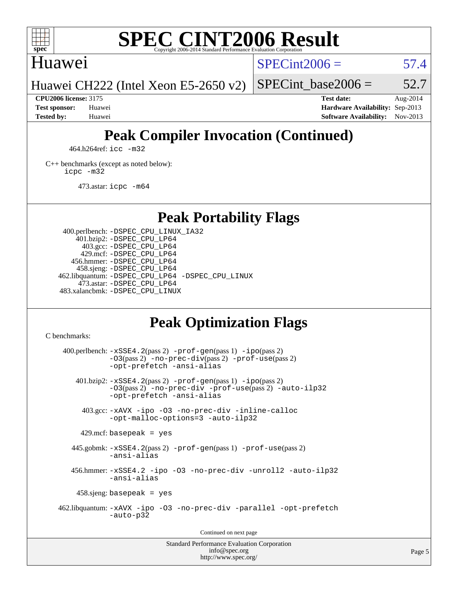

## Huawei

 $SPECint2006 = 57.4$  $SPECint2006 = 57.4$ 

Huawei CH222 (Intel Xeon E5-2650 v2)

**[Tested by:](http://www.spec.org/auto/cpu2006/Docs/result-fields.html#Testedby)** Huawei **[Software Availability:](http://www.spec.org/auto/cpu2006/Docs/result-fields.html#SoftwareAvailability)** Nov-2013

**[CPU2006 license:](http://www.spec.org/auto/cpu2006/Docs/result-fields.html#CPU2006license)** 3175 **[Test date:](http://www.spec.org/auto/cpu2006/Docs/result-fields.html#Testdate)** Aug-2014 **[Test sponsor:](http://www.spec.org/auto/cpu2006/Docs/result-fields.html#Testsponsor)** Huawei **[Hardware Availability:](http://www.spec.org/auto/cpu2006/Docs/result-fields.html#HardwareAvailability)** Sep-2013

SPECint base2006 =  $52.7$ 

# **[Peak Compiler Invocation \(Continued\)](http://www.spec.org/auto/cpu2006/Docs/result-fields.html#PeakCompilerInvocation)**

464.h264ref: [icc -m32](http://www.spec.org/cpu2006/results/res2014q3/cpu2006-20140824-31002.flags.html#user_peakCCLD464_h264ref_intel_icc_a6a621f8d50482236b970c6ac5f55f93)

[C++ benchmarks \(except as noted below\):](http://www.spec.org/auto/cpu2006/Docs/result-fields.html#CXXbenchmarksexceptasnotedbelow) [icpc -m32](http://www.spec.org/cpu2006/results/res2014q3/cpu2006-20140824-31002.flags.html#user_CXXpeak_intel_icpc_4e5a5ef1a53fd332b3c49e69c3330699)

473.astar: [icpc -m64](http://www.spec.org/cpu2006/results/res2014q3/cpu2006-20140824-31002.flags.html#user_peakCXXLD473_astar_intel_icpc_64bit_fc66a5337ce925472a5c54ad6a0de310)

**[Peak Portability Flags](http://www.spec.org/auto/cpu2006/Docs/result-fields.html#PeakPortabilityFlags)**

 400.perlbench: [-DSPEC\\_CPU\\_LINUX\\_IA32](http://www.spec.org/cpu2006/results/res2014q3/cpu2006-20140824-31002.flags.html#b400.perlbench_peakCPORTABILITY_DSPEC_CPU_LINUX_IA32) 401.bzip2: [-DSPEC\\_CPU\\_LP64](http://www.spec.org/cpu2006/results/res2014q3/cpu2006-20140824-31002.flags.html#suite_peakPORTABILITY401_bzip2_DSPEC_CPU_LP64) 403.gcc: [-DSPEC\\_CPU\\_LP64](http://www.spec.org/cpu2006/results/res2014q3/cpu2006-20140824-31002.flags.html#suite_peakPORTABILITY403_gcc_DSPEC_CPU_LP64) 429.mcf: [-DSPEC\\_CPU\\_LP64](http://www.spec.org/cpu2006/results/res2014q3/cpu2006-20140824-31002.flags.html#suite_peakPORTABILITY429_mcf_DSPEC_CPU_LP64) 456.hmmer: [-DSPEC\\_CPU\\_LP64](http://www.spec.org/cpu2006/results/res2014q3/cpu2006-20140824-31002.flags.html#suite_peakPORTABILITY456_hmmer_DSPEC_CPU_LP64) 458.sjeng: [-DSPEC\\_CPU\\_LP64](http://www.spec.org/cpu2006/results/res2014q3/cpu2006-20140824-31002.flags.html#suite_peakPORTABILITY458_sjeng_DSPEC_CPU_LP64) 462.libquantum: [-DSPEC\\_CPU\\_LP64](http://www.spec.org/cpu2006/results/res2014q3/cpu2006-20140824-31002.flags.html#suite_peakPORTABILITY462_libquantum_DSPEC_CPU_LP64) [-DSPEC\\_CPU\\_LINUX](http://www.spec.org/cpu2006/results/res2014q3/cpu2006-20140824-31002.flags.html#b462.libquantum_peakCPORTABILITY_DSPEC_CPU_LINUX) 473.astar: [-DSPEC\\_CPU\\_LP64](http://www.spec.org/cpu2006/results/res2014q3/cpu2006-20140824-31002.flags.html#suite_peakPORTABILITY473_astar_DSPEC_CPU_LP64) 483.xalancbmk: [-DSPEC\\_CPU\\_LINUX](http://www.spec.org/cpu2006/results/res2014q3/cpu2006-20140824-31002.flags.html#b483.xalancbmk_peakCXXPORTABILITY_DSPEC_CPU_LINUX)

# **[Peak Optimization Flags](http://www.spec.org/auto/cpu2006/Docs/result-fields.html#PeakOptimizationFlags)**

[C benchmarks](http://www.spec.org/auto/cpu2006/Docs/result-fields.html#Cbenchmarks):

 $400.$ perlbench:  $-xSSE4$ .  $2(pass 2)$  -prof-qen(pass 1) [-ipo](http://www.spec.org/cpu2006/results/res2014q3/cpu2006-20140824-31002.flags.html#user_peakPASS2_CFLAGSPASS2_LDCFLAGS400_perlbench_f-ipo)(pass 2) [-O3](http://www.spec.org/cpu2006/results/res2014q3/cpu2006-20140824-31002.flags.html#user_peakPASS2_CFLAGSPASS2_LDCFLAGS400_perlbench_f-O3)(pass 2) [-no-prec-div](http://www.spec.org/cpu2006/results/res2014q3/cpu2006-20140824-31002.flags.html#user_peakPASS2_CFLAGSPASS2_LDCFLAGS400_perlbench_f-no-prec-div)(pass 2) [-prof-use](http://www.spec.org/cpu2006/results/res2014q3/cpu2006-20140824-31002.flags.html#user_peakPASS2_CFLAGSPASS2_LDCFLAGS400_perlbench_prof_use_bccf7792157ff70d64e32fe3e1250b55)(pass 2) [-opt-prefetch](http://www.spec.org/cpu2006/results/res2014q3/cpu2006-20140824-31002.flags.html#user_peakCOPTIMIZE400_perlbench_f-opt-prefetch) [-ansi-alias](http://www.spec.org/cpu2006/results/res2014q3/cpu2006-20140824-31002.flags.html#user_peakCOPTIMIZE400_perlbench_f-ansi-alias) 401.bzip2: [-xSSE4.2](http://www.spec.org/cpu2006/results/res2014q3/cpu2006-20140824-31002.flags.html#user_peakPASS2_CFLAGSPASS2_LDCFLAGS401_bzip2_f-xSSE42_f91528193cf0b216347adb8b939d4107)(pass 2) [-prof-gen](http://www.spec.org/cpu2006/results/res2014q3/cpu2006-20140824-31002.flags.html#user_peakPASS1_CFLAGSPASS1_LDCFLAGS401_bzip2_prof_gen_e43856698f6ca7b7e442dfd80e94a8fc)(pass 1) [-ipo](http://www.spec.org/cpu2006/results/res2014q3/cpu2006-20140824-31002.flags.html#user_peakPASS2_CFLAGSPASS2_LDCFLAGS401_bzip2_f-ipo)(pass 2) [-O3](http://www.spec.org/cpu2006/results/res2014q3/cpu2006-20140824-31002.flags.html#user_peakPASS2_CFLAGSPASS2_LDCFLAGS401_bzip2_f-O3)(pass 2) [-no-prec-div](http://www.spec.org/cpu2006/results/res2014q3/cpu2006-20140824-31002.flags.html#user_peakCOPTIMIZEPASS2_CFLAGSPASS2_LDCFLAGS401_bzip2_f-no-prec-div) [-prof-use](http://www.spec.org/cpu2006/results/res2014q3/cpu2006-20140824-31002.flags.html#user_peakPASS2_CFLAGSPASS2_LDCFLAGS401_bzip2_prof_use_bccf7792157ff70d64e32fe3e1250b55)(pass 2) [-auto-ilp32](http://www.spec.org/cpu2006/results/res2014q3/cpu2006-20140824-31002.flags.html#user_peakCOPTIMIZE401_bzip2_f-auto-ilp32) [-opt-prefetch](http://www.spec.org/cpu2006/results/res2014q3/cpu2006-20140824-31002.flags.html#user_peakCOPTIMIZE401_bzip2_f-opt-prefetch) [-ansi-alias](http://www.spec.org/cpu2006/results/res2014q3/cpu2006-20140824-31002.flags.html#user_peakCOPTIMIZE401_bzip2_f-ansi-alias) 403.gcc: [-xAVX](http://www.spec.org/cpu2006/results/res2014q3/cpu2006-20140824-31002.flags.html#user_peakCOPTIMIZE403_gcc_f-xAVX) [-ipo](http://www.spec.org/cpu2006/results/res2014q3/cpu2006-20140824-31002.flags.html#user_peakCOPTIMIZE403_gcc_f-ipo) [-O3](http://www.spec.org/cpu2006/results/res2014q3/cpu2006-20140824-31002.flags.html#user_peakCOPTIMIZE403_gcc_f-O3) [-no-prec-div](http://www.spec.org/cpu2006/results/res2014q3/cpu2006-20140824-31002.flags.html#user_peakCOPTIMIZE403_gcc_f-no-prec-div) [-inline-calloc](http://www.spec.org/cpu2006/results/res2014q3/cpu2006-20140824-31002.flags.html#user_peakCOPTIMIZE403_gcc_f-inline-calloc) [-opt-malloc-options=3](http://www.spec.org/cpu2006/results/res2014q3/cpu2006-20140824-31002.flags.html#user_peakCOPTIMIZE403_gcc_f-opt-malloc-options_13ab9b803cf986b4ee62f0a5998c2238) [-auto-ilp32](http://www.spec.org/cpu2006/results/res2014q3/cpu2006-20140824-31002.flags.html#user_peakCOPTIMIZE403_gcc_f-auto-ilp32)  $429$ .mcf: basepeak = yes 445.gobmk: [-xSSE4.2](http://www.spec.org/cpu2006/results/res2014q3/cpu2006-20140824-31002.flags.html#user_peakPASS2_CFLAGSPASS2_LDCFLAGS445_gobmk_f-xSSE42_f91528193cf0b216347adb8b939d4107)(pass 2) [-prof-gen](http://www.spec.org/cpu2006/results/res2014q3/cpu2006-20140824-31002.flags.html#user_peakPASS1_CFLAGSPASS1_LDCFLAGS445_gobmk_prof_gen_e43856698f6ca7b7e442dfd80e94a8fc)(pass 1) [-prof-use](http://www.spec.org/cpu2006/results/res2014q3/cpu2006-20140824-31002.flags.html#user_peakPASS2_CFLAGSPASS2_LDCFLAGS445_gobmk_prof_use_bccf7792157ff70d64e32fe3e1250b55)(pass 2) [-ansi-alias](http://www.spec.org/cpu2006/results/res2014q3/cpu2006-20140824-31002.flags.html#user_peakCOPTIMIZE445_gobmk_f-ansi-alias) 456.hmmer: [-xSSE4.2](http://www.spec.org/cpu2006/results/res2014q3/cpu2006-20140824-31002.flags.html#user_peakCOPTIMIZE456_hmmer_f-xSSE42_f91528193cf0b216347adb8b939d4107) [-ipo](http://www.spec.org/cpu2006/results/res2014q3/cpu2006-20140824-31002.flags.html#user_peakCOPTIMIZE456_hmmer_f-ipo) [-O3](http://www.spec.org/cpu2006/results/res2014q3/cpu2006-20140824-31002.flags.html#user_peakCOPTIMIZE456_hmmer_f-O3) [-no-prec-div](http://www.spec.org/cpu2006/results/res2014q3/cpu2006-20140824-31002.flags.html#user_peakCOPTIMIZE456_hmmer_f-no-prec-div) [-unroll2](http://www.spec.org/cpu2006/results/res2014q3/cpu2006-20140824-31002.flags.html#user_peakCOPTIMIZE456_hmmer_f-unroll_784dae83bebfb236979b41d2422d7ec2) [-auto-ilp32](http://www.spec.org/cpu2006/results/res2014q3/cpu2006-20140824-31002.flags.html#user_peakCOPTIMIZE456_hmmer_f-auto-ilp32) [-ansi-alias](http://www.spec.org/cpu2006/results/res2014q3/cpu2006-20140824-31002.flags.html#user_peakCOPTIMIZE456_hmmer_f-ansi-alias) 458.sjeng: basepeak = yes 462.libquantum: [-xAVX](http://www.spec.org/cpu2006/results/res2014q3/cpu2006-20140824-31002.flags.html#user_peakCOPTIMIZE462_libquantum_f-xAVX) [-ipo](http://www.spec.org/cpu2006/results/res2014q3/cpu2006-20140824-31002.flags.html#user_peakCOPTIMIZE462_libquantum_f-ipo) [-O3](http://www.spec.org/cpu2006/results/res2014q3/cpu2006-20140824-31002.flags.html#user_peakCOPTIMIZE462_libquantum_f-O3) [-no-prec-div](http://www.spec.org/cpu2006/results/res2014q3/cpu2006-20140824-31002.flags.html#user_peakCOPTIMIZE462_libquantum_f-no-prec-div) [-parallel](http://www.spec.org/cpu2006/results/res2014q3/cpu2006-20140824-31002.flags.html#user_peakCOPTIMIZE462_libquantum_f-parallel) [-opt-prefetch](http://www.spec.org/cpu2006/results/res2014q3/cpu2006-20140824-31002.flags.html#user_peakCOPTIMIZE462_libquantum_f-opt-prefetch) [-auto-p32](http://www.spec.org/cpu2006/results/res2014q3/cpu2006-20140824-31002.flags.html#user_peakCOPTIMIZE462_libquantum_f-auto-p32) Continued on next page

Standard Performance Evaluation Corporation [info@spec.org](mailto:info@spec.org) <http://www.spec.org/>